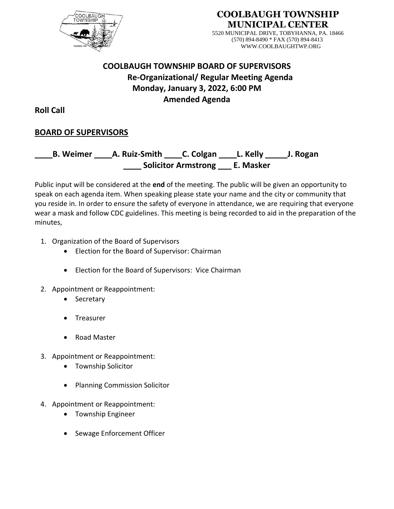

## **COOLBAUGH TOWNSHIP MUNICIPAL CENTER**

5520 MUNICIPAL DRIVE, TOBYHANNA, PA. 18466 (570) 894-8490 \* FAX (570) 894-8413 WWW.COOLBAUGHTWP.ORG

# **COOLBAUGH TOWNSHIP BOARD OF SUPERVISORS Re-Organizational/ Regular Meeting Agenda Monday, January 3, 2022, 6:00 PM Amended Agenda**

**Roll Call**

# **BOARD OF SUPERVISORS**

**\_\_\_\_B. Weimer \_\_\_\_A. Ruiz-Smith \_\_\_\_C. Colgan \_\_\_\_L. Kelly \_\_\_\_\_J. Rogan \_\_\_\_ Solicitor Armstrong \_\_\_ E. Masker**

Public input will be considered at the **end** of the meeting. The public will be given an opportunity to speak on each agenda item. When speaking please state your name and the city or community that you reside in. In order to ensure the safety of everyone in attendance, we are requiring that everyone wear a mask and follow CDC guidelines. This meeting is being recorded to aid in the preparation of the minutes,

- 1. Organization of the Board of Supervisors
	- Election for the Board of Supervisor: Chairman
	- Election for the Board of Supervisors: Vice Chairman
- 2. Appointment or Reappointment:
	- Secretary
	- **Treasurer**
	- Road Master
- 3. Appointment or Reappointment:
	- Township Solicitor
	- Planning Commission Solicitor
- 4. Appointment or Reappointment:
	- Township Engineer
	- Sewage Enforcement Officer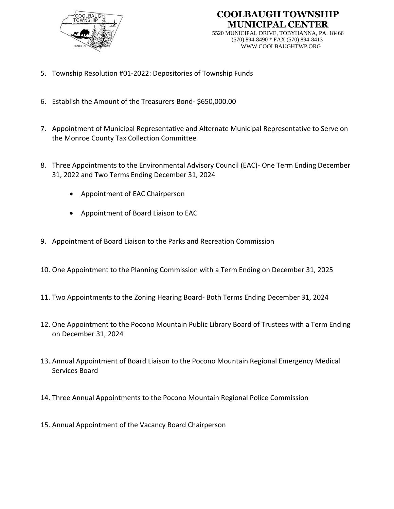

# **COOLBAUGH TOWNSHIP MUNICIPAL CENTER**

5520 MUNICIPAL DRIVE, TOBYHANNA, PA. 18466 (570) 894-8490 \* FAX (570) 894-8413 WWW.COOLBAUGHTWP.ORG

- 5. Township Resolution #01-2022: Depositories of Township Funds
- 6. Establish the Amount of the Treasurers Bond- \$650,000.00
- 7. Appointment of Municipal Representative and Alternate Municipal Representative to Serve on the Monroe County Tax Collection Committee
- 8. Three Appointments to the Environmental Advisory Council (EAC)- One Term Ending December 31, 2022 and Two Terms Ending December 31, 2024
	- Appointment of EAC Chairperson
	- Appointment of Board Liaison to EAC
- 9. Appointment of Board Liaison to the Parks and Recreation Commission
- 10. One Appointment to the Planning Commission with a Term Ending on December 31, 2025
- 11. Two Appointments to the Zoning Hearing Board- Both Terms Ending December 31, 2024
- 12. One Appointment to the Pocono Mountain Public Library Board of Trustees with a Term Ending on December 31, 2024
- 13. Annual Appointment of Board Liaison to the Pocono Mountain Regional Emergency Medical Services Board
- 14. Three Annual Appointments to the Pocono Mountain Regional Police Commission
- 15. Annual Appointment of the Vacancy Board Chairperson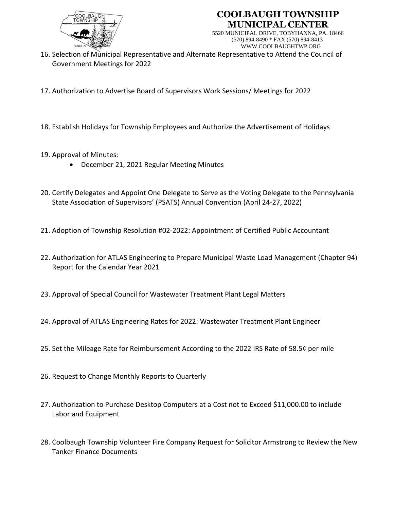

# **COOLBAUGH TOWNSHIP MUNICIPAL CENTER**

5520 MUNICIPAL DRIVE, TOBYHANNA, PA. 18466 (570) 894-8490 \* FAX (570) 894-8413 WWW.COOLBAUGHTWP.ORG

- 16. Selection of Municipal Representative and Alternate Representative to Attend the Council of Government Meetings for 2022
- 17. Authorization to Advertise Board of Supervisors Work Sessions/ Meetings for 2022
- 18. Establish Holidays for Township Employees and Authorize the Advertisement of Holidays
- 19. Approval of Minutes:
	- December 21, 2021 Regular Meeting Minutes
- 20. Certify Delegates and Appoint One Delegate to Serve as the Voting Delegate to the Pennsylvania State Association of Supervisors' (PSATS) Annual Convention (April 24-27, 2022)
- 21. Adoption of Township Resolution #02-2022: Appointment of Certified Public Accountant
- 22. Authorization for ATLAS Engineering to Prepare Municipal Waste Load Management (Chapter 94) Report for the Calendar Year 2021
- 23. Approval of Special Council for Wastewater Treatment Plant Legal Matters
- 24. Approval of ATLAS Engineering Rates for 2022: Wastewater Treatment Plant Engineer
- 25. Set the Mileage Rate for Reimbursement According to the 2022 IRS Rate of 58.5¢ per mile
- 26. Request to Change Monthly Reports to Quarterly
- 27. Authorization to Purchase Desktop Computers at a Cost not to Exceed \$11,000.00 to include Labor and Equipment
- 28. Coolbaugh Township Volunteer Fire Company Request for Solicitor Armstrong to Review the New Tanker Finance Documents